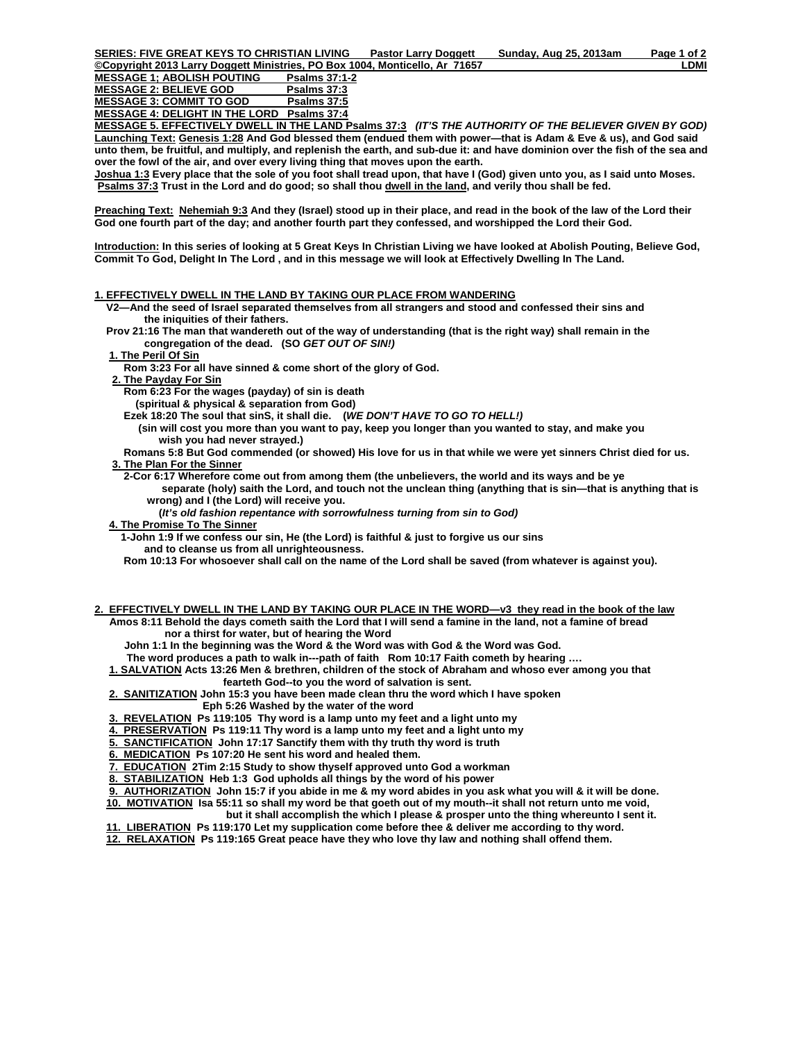**©Copyright 2013 Larry Doggett Ministries, PO Box 1004, Monticello, Ar 71657 LDMI** MESSAGE 1; ABOLISH POUTING Psalms 37:1-<br>MESSAGE 2: BELIEVE GOD Psalms 37:3 MESSAGE 2: BELIEVE GOD Psalms 37:3<br>MESSAGE 3: COMMIT TO GOD Psalms 37:5 **MESSAGE 3: COMMIT TO GOD** 

**MESSAGE 4: DELIGHT IN THE LORD Psalms 37:4**

**MESSAGE 5. EFFECTIVELY DWELL IN THE LAND Psalms 37:3** *(IT'S THE AUTHORITY OF THE BELIEVER GIVEN BY GOD)*  **Launching Text: Genesis 1:28 And God blessed them (endued them with power—that is Adam & Eve & us), and God said unto them, be fruitful, and multiply, and replenish the earth, and sub-due it: and have dominion over the fish of the sea and over the fowl of the air, and over every living thing that moves upon the earth.** 

**Joshua 1:3 Every place that the sole of you foot shall tread upon, that have I (God) given unto you, as I said unto Moses. Psalms 37:3** Trust in the Lord and do good; so shall thou dwell in the land, and verily thou shall be fed.

**Preaching Text: Nehemiah 9:3 And they (Israel) stood up in their place, and read in the book of the law of the Lord their God one fourth part of the day; and another fourth part they confessed, and worshipped the Lord their God.** 

**Introduction: In this series of looking at 5 Great Keys In Christian Living we have looked at Abolish Pouting, Believe God, Commit To God, Delight In The Lord , and in this message we will look at Effectively Dwelling In The Land.** 

## **1. EFFECTIVELY DWELL IN THE LAND BY TAKING OUR PLACE FROM WANDERING**

- **V2—And the seed of Israel separated themselves from all strangers and stood and confessed their sins and the iniquities of their fathers.**
- **Prov 21:16 The man that wandereth out of the way of understanding (that is the right way) shall remain in the congregation of the dead. (SO** *GET OUT OF SIN!)*

 **1. The Peril Of Sin**

 **Rom 3:23 For all have sinned & come short of the glory of God.** 

 **2. The Payday For Sin**

 **Rom 6:23 For the wages (payday) of sin is death** 

 **(spiritual & physical & separation from God)** 

- **Ezek 18:20 The soul that sinS, it shall die. (***WE DON'T HAVE TO GO TO HELL!)* 
	- **(sin will cost you more than you want to pay, keep you longer than you wanted to stay, and make you wish you had never strayed.)**
- **Romans 5:8 But God commended (or showed) His love for us in that while we were yet sinners Christ died for us. 3. The Plan For the Sinner**

 **2-Cor 6:17 Wherefore come out from among them (the unbelievers, the world and its ways and be ye separate (holy) saith the Lord, and touch not the unclean thing (anything that is sin—that is anything that is wrong) and I (the Lord) will receive you.** 

 **(***It's old fashion repentance with sorrowfulness turning from sin to God)*

**4. The Promise To The Sinner**

 **1-John 1:9 If we confess our sin, He (the Lord) is faithful & just to forgive us our sins and to cleanse us from all unrighteousness.** 

 **Rom 10:13 For whosoever shall call on the name of the Lord shall be saved (from whatever is against you).** 

**2. EFFECTIVELY DWELL IN THE LAND BY TAKING OUR PLACE IN THE WORD—v3 they read in the book of the law Amos 8:11 Behold the days cometh saith the Lord that I will send a famine in the land, not a famine of bread nor a thirst for water, but of hearing the Word** 

 **John 1:1 In the beginning was the Word & the Word was with God & the Word was God.** 

 **The word produces a path to walk in---path of faith Rom 10:17 Faith cometh by hearing ….** 

 **1. SALVATION Acts 13:26 Men & brethren, children of the stock of Abraham and whoso ever among you that fearteth God--to you the word of salvation is sent.** 

 **2. SANITIZATION John 15:3 you have been made clean thru the word which I have spoken** 

 **Eph 5:26 Washed by the water of the word** 

 **3. REVELATION Ps 119:105 Thy word is a lamp unto my feet and a light unto my** 

 **4. PRESERVATION Ps 119:11 Thy word is a lamp unto my feet and a light unto my** 

 **5. SANCTIFICATION John 17:17 Sanctify them with thy truth thy word is truth** 

 **6. MEDICATION Ps 107:20 He sent his word and healed them.** 

 **7. EDUCATION 2Tim 2:15 Study to show thyself approved unto God a workman** 

 **8. STABILIZATION Heb 1:3 God upholds all things by the word of his power** 

 **9. AUTHORIZATION John 15:7 if you abide in me & my word abides in you ask what you will & it will be done. 10. MOTIVATION Isa 55:11 so shall my word be that goeth out of my mouth--it shall not return unto me void,** 

 **but it shall accomplish the which I please & prosper unto the thing whereunto I sent it.** 

 **11. LIBERATION Ps 119:170 Let my supplication come before thee & deliver me according to thy word. 12. RELAXATION Ps 119:165 Great peace have they who love thy law and nothing shall offend them.**